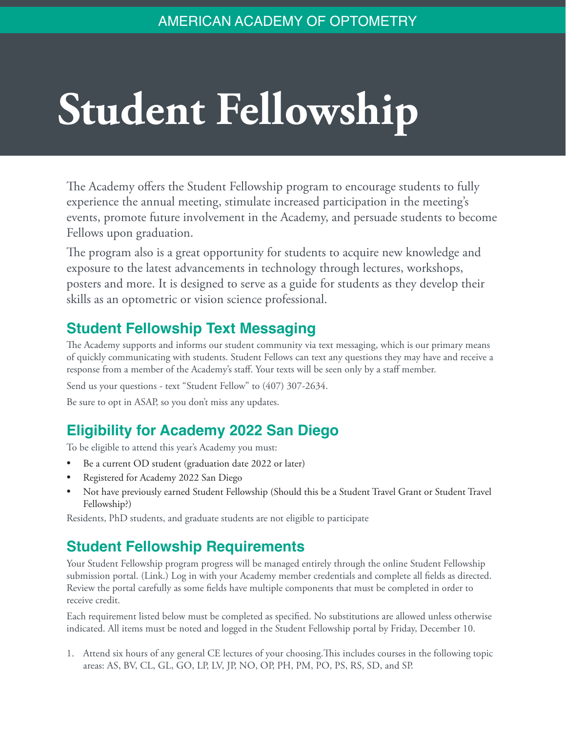## **Student Fellowship**

The Academy offers the Student Fellowship program to encourage students to fully experience the annual meeting, stimulate increased participation in the meeting's events, promote future involvement in the Academy, and persuade students to become Fellows upon graduation.

The program also is a great opportunity for students to acquire new knowledge and exposure to the latest advancements in technology through lectures, workshops, posters and more. It is designed to serve as a guide for students as they develop their skills as an optometric or vision science professional.

## **Student Fellowship Text Messaging**

The Academy supports and informs our student community via text messaging, which is our primary means of quickly communicating with students. Student Fellows can text any questions they may have and receive a response from a member of the Academy's staff. Your texts will be seen only by a staff member.

Send us your questions - text "Student Fellow" to (407) 307-2634.

Be sure to opt in ASAP, so you don't miss any updates.

## **Eligibility for Academy 2022 San Diego**

To be eligible to attend this year's Academy you must:

- Be a current OD student (graduation date 2022 or later)
- Registered for Academy 2022 San Diego
- Not have previously earned Student Fellowship (Should this be a Student Travel Grant or Student Travel Fellowship?)

Residents, PhD students, and graduate students are not eligible to participate

## **Student Fellowship Requirements**

Your Student Fellowship program progress will be managed entirely through the online Student Fellowship submission portal. (Link.) Log in with your Academy member credentials and complete all fields as directed. Review the portal carefully as some fields have multiple components that must be completed in order to receive credit.

Each requirement listed below must be completed as specified. No substitutions are allowed unless otherwise indicated. All items must be noted and logged in the Student Fellowship portal by Friday, December 10.

1. Attend six hours of any general CE lectures of your choosing.This includes courses in the following topic areas: AS, BV, CL, GL, GO, LP, LV, JP, NO, OP, PH, PM, PO, PS, RS, SD, and SP.